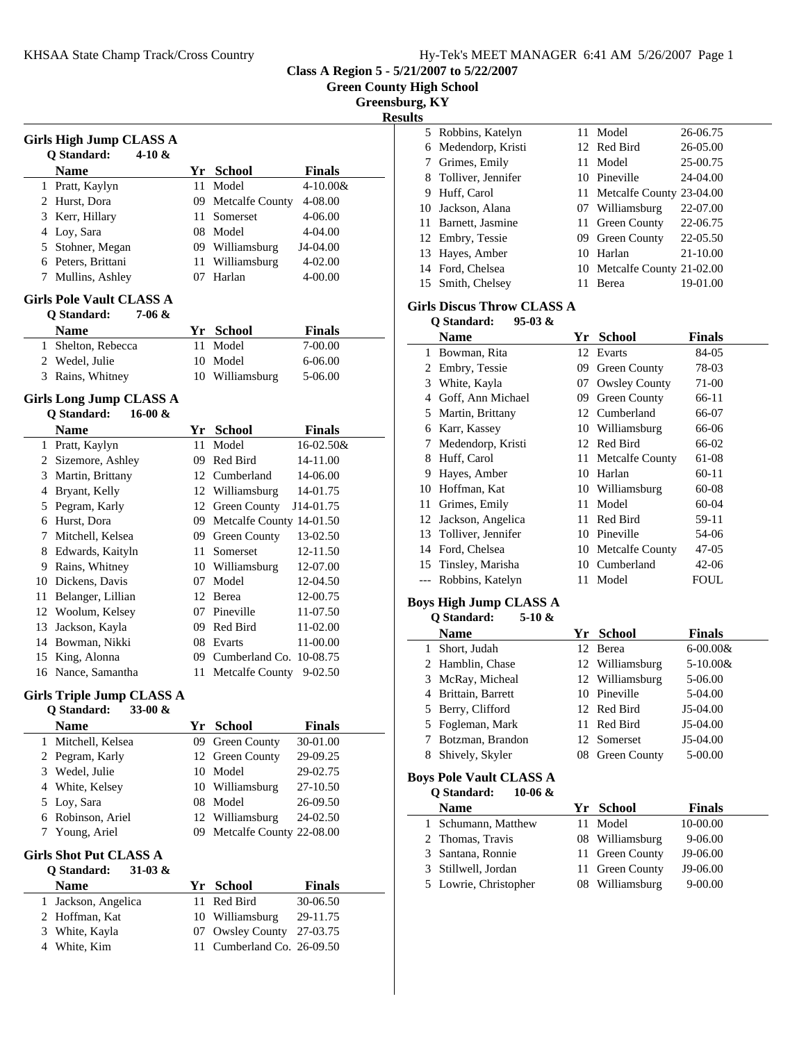**Class A Region 5 - 5/21/2007 to 5/22/2007**

**Green County High School**

**Greensburg, KY**

**Results**

|                | <b>Girls High Jump CLASS A</b>                             |      |                                   |                                |
|----------------|------------------------------------------------------------|------|-----------------------------------|--------------------------------|
|                | Q Standard:<br>4-10 &                                      |      |                                   |                                |
|                | <b>Name</b>                                                | 11   | Yr School<br>Model                | <b>Finals</b><br>$4 - 10.00 &$ |
|                | 1 Pratt, Kaylyn<br>2 Hurst, Dora                           |      |                                   | 4-08.00                        |
|                |                                                            |      | 09 Metcalfe County<br>11 Somerset |                                |
|                | 3 Kerr, Hillary                                            |      |                                   | 4-06.00                        |
|                | 4 Loy, Sara                                                |      | 08 Model                          | 4-04.00                        |
|                | 5 Stohner, Megan                                           |      | 09 Williamsburg                   | J4-04.00                       |
|                | 6 Peters, Brittani                                         |      | 11 Williamsburg                   | 4-02.00                        |
|                | 7 Mullins, Ashley                                          |      | 07 Harlan                         | 4-00.00                        |
|                | <b>Girls Pole Vault CLASS A</b>                            |      |                                   |                                |
|                | Q Standard:<br>7-06 &<br><b>Name</b>                       |      | Yr School                         | <b>Finals</b>                  |
|                | 1 Shelton, Rebecca                                         | 11   | Model                             | 7-00.00                        |
|                | 2 Wedel, Julie                                             | 10   | Model                             | 6-06.00                        |
|                | 3 Rains, Whitney                                           |      | 10 Williamsburg                   | 5-06.00                        |
|                | <b>Girls Long Jump CLASS A</b>                             |      |                                   |                                |
|                | Q Standard:<br>$16-00 \&$                                  |      |                                   |                                |
|                | <b>Name</b>                                                |      | <u>Yr School</u>                  | <b>Finals</b>                  |
|                | 1 Pratt, Kaylyn                                            | 11   | Model                             | 16-02.50&                      |
|                | 2 Sizemore, Ashley                                         |      | 09 Red Bird                       | 14-11.00                       |
|                | 3 Martin, Brittany                                         |      | 12 Cumberland                     | 14-06.00                       |
|                | 4 Bryant, Kelly                                            |      | 12 Williamsburg                   | 14-01.75                       |
|                | 5 Pegram, Karly                                            |      | 12 Green County                   | J14-01.75                      |
|                | 6 Hurst, Dora                                              |      | 09 Metcalfe County 14-01.50       |                                |
| 7              | Mitchell, Kelsea                                           |      | 09 Green County                   | 13-02.50                       |
|                | 8 Edwards, Kaityln                                         |      | 11 Somerset                       | 12-11.50                       |
|                | 9 Rains, Whitney                                           |      | 10 Williamsburg                   | 12-07.00                       |
|                | 10 Dickens, Davis                                          | 07   | Model                             | 12-04.50                       |
|                | 11 Belanger, Lillian                                       |      | 12 Berea                          | 12-00.75                       |
|                | 12 Woolum, Kelsey                                          |      | 07 Pineville                      | 11-07.50                       |
| 13             | Jackson, Kayla                                             |      | 09 Red Bird                       | 11-02.00                       |
|                | 14 Bowman, Nikki                                           |      | 08 Evarts                         | 11-00.00                       |
|                | 15 King, Alonna                                            |      | 09 Cumberland Co. 10-08.75        |                                |
|                | 16 Nance, Samantha                                         |      | 11 Metcalfe County 9-02.50        |                                |
|                |                                                            |      |                                   |                                |
|                | <b>Girls Triple Jump CLASS A</b><br>Q Standard:<br>33-00 & |      |                                   |                                |
|                | <b>Name</b>                                                |      | Yr School                         | <b>Finals</b>                  |
| $\mathbf{1}$   | Mitchell, Kelsea                                           | 09.  | Green County                      | 30-01.00                       |
| 2              | Pegram, Karly                                              | 12   | Green County                      | 29-09.25                       |
| 3              | Wedel, Julie                                               | 10   | Model                             | 29-02.75                       |
| 4              | White, Kelsey                                              | 10   | Williamsburg                      | 27-10.50                       |
| 5              | Loy, Sara                                                  | 08   | Model                             | 26-09.50                       |
|                | 6 Robinson, Ariel                                          |      | 12 Williamsburg                   | 24-02.50                       |
| 7              | Young, Ariel                                               | 09   | Metcalfe County 22-08.00          |                                |
|                |                                                            |      |                                   |                                |
|                | <b>Girls Shot Put CLASS A</b><br>Q Standard:<br>31-03 $\&$ |      |                                   |                                |
|                | <b>Name</b>                                                |      | Yr School                         | <b>Finals</b>                  |
| $\mathbf{1}$   | Jackson, Angelica                                          | 11   | Red Bird                          | 30-06.50                       |
| $\overline{2}$ | Hoffman, Kat                                               | 10   | Williamsburg                      | 29-11.75                       |
| 3              | White, Kayla                                               | 07   | <b>Owsley County</b>              | 27-03.75                       |
| 4              | White, Kim                                                 | 11 - | Cumberland Co. 26-09.50           |                                |
|                |                                                            |      |                                   |                                |

| ۰J |                      |     |                             |          |
|----|----------------------|-----|-----------------------------|----------|
|    | 5 Robbins, Katelyn   |     | 11 Model                    | 26-06.75 |
|    | 6 Medendorp, Kristi  |     | 12 Red Bird                 | 26-05.00 |
|    | 7 Grimes, Emily      | 11. | Model                       | 25-00.75 |
|    | 8 Tolliver, Jennifer |     | 10 Pineville                | 24-04.00 |
| 9  | Huff, Carol          |     | 11 Metcalfe County 23-04.00 |          |
|    | 10 Jackson, Alana    |     | 07 Williamsburg             | 22-07.00 |
|    | 11 Barnett, Jasmine  |     | 11 Green County             | 22-06.75 |
|    | 12 Embry, Tessie     |     | 09 Green County             | 22-05.50 |
|    | 13 Hayes, Amber      |     | 10 Harlan                   | 21-10.00 |
|    | 14 Ford, Chelsea     |     | 10 Metcalfe County 21-02.00 |          |
|    | 15 Smith, Chelsey    |     | <b>Berea</b>                | 19-01.00 |

## **Girls Discus Throw CLASS A**

| <b>O</b> Standar |  |  |  |
|------------------|--|--|--|
|------------------|--|--|--|

| $95-03 &$<br>O Standard: |     |                      |        |
|--------------------------|-----|----------------------|--------|
| Name                     | Yr  | School               | Finals |
| Bowman, Rita<br>1        |     | 12 Evarts            | 84-05  |
| Embry, Tessie<br>2       | 09  | <b>Green County</b>  | 78-03  |
| 3<br>White, Kayla        | 07  | <b>Owsley County</b> | 71-00  |
| Goff, Ann Michael<br>4   | 09  | <b>Green County</b>  | 66-11  |
| Martin, Brittany<br>5    |     | 12 Cumberland        | 66-07  |
| Karr, Kassey<br>6        | 10  | Williamsburg         | 66-06  |
| Medendorp, Kristi<br>7   |     | 12 Red Bird          | 66-02  |
| Huff, Carol<br>8         | 11- | Metcalfe County      | 61-08  |
| Hayes, Amber<br>9        | 10  | Harlan               | 60-11  |
| Hoffman, Kat<br>10       |     | 10 Williamsburg      | 60-08  |
| Grimes, Emily<br>11      | 11  | Model                | 60-04  |
| Jackson, Angelica<br>12  | 11  | Red Bird             | 59-11  |
| Tolliver, Jennifer<br>13 | 10  | Pineville            | 54-06  |
| Ford, Chelsea<br>14      | 10  | Metcalfe County      | 47-05  |
| Tinsley, Marisha<br>15   | 10  | Cumberland           | 42-06  |
| Robbins, Katelyn         | 11. | Model                | FOUL   |

## **Boys High Jump CLASS A**

| 5-10 $\&$<br>O Standard: |                     |               |
|--------------------------|---------------------|---------------|
| <b>Name</b>              | Yr School           | Finals        |
| Short, Judah             | 12 Berea            | $6 - 00.00 &$ |
| 2 Hamblin, Chase         | 12 Williamsburg     | $5 - 10.00 &$ |
| 3 McRay, Micheal         | 12 Williamsburg     | 5-06.00       |
| 4 Brittain, Barrett      | 10 Pineville        | 5-04.00       |
| 5 Berry, Clifford        | 12 Red Bird         | $J5-04.00$    |
| 5 Fogleman, Mark         | 11 Red Bird         | $J5-04.00$    |
| Botzman, Brandon         | 12 Somerset         | $J5-04.00$    |
| Shively, Skyler          | <b>Green County</b> | 5-00.00       |

## **Boys Pole Vault CLASS A**

| Q Standard: | 10-06 $\&$ |  |
|-------------|------------|--|
|             |            |  |

| <b>Name</b>           | Yr School       | <b>Finals</b> |
|-----------------------|-----------------|---------------|
| 1 Schumann, Matthew   | 11 Model        | 10-00.00      |
| 2 Thomas, Travis      | 08 Williamsburg | $9 - 06.00$   |
| 3 Santana, Ronnie     | 11 Green County | $J9-06.00$    |
| 3 Stillwell, Jordan   | 11 Green County | J9-06.00      |
| 5 Lowrie, Christopher | 08 Williamsburg | $9 - 00.00$   |